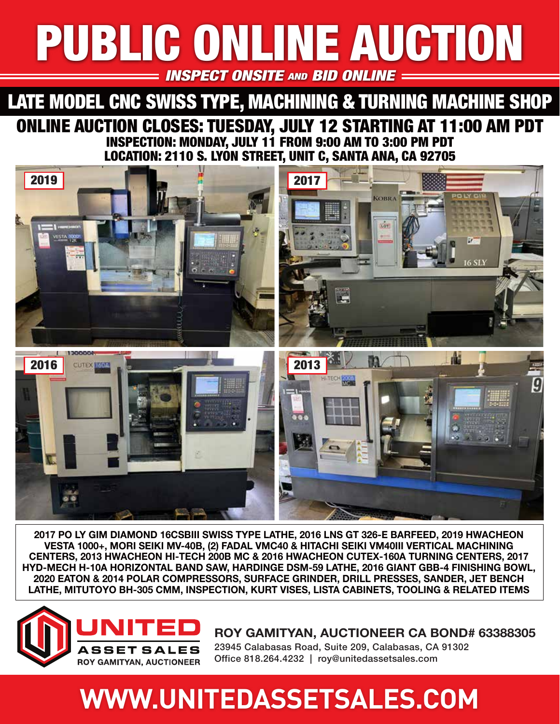# PUBLIC ONLINE AUCTION PUBLIC ONLINE AUCTION **INSPECT ONSITE AND BID ONLINE**

# ONLINE AUCTION CLOSES: TUESDAY, JULY 12 STARTING AT 11:00 AM PDT INSPECTION: MONDAY, JULY 11 FROM 9:00 AM TO 3:00 PM PDT LOCATION: 2110 S. LYÓN STREET, UNIT C, SANTA ANA, CA 92705 LATE MODEL CNC SWISS TYPE, MACHINING & TURNING MACHINE SHOP



**2017 PO LY GIM DIAMOND 16CSBIII SWISS TYPE LATHE, 2016 LNS GT 326-E BARFEED, 2019 HWACHEON VESTA 1000+, MORI SEIKI MV-40B, (2) FADAL VMC40 & HITACHI SEIKI VM40III VERTICAL MACHINING CENTERS, 2013 HWACHEON HI-TECH 200B MC & 2016 HWACHEON CUTEX-160A TURNING CENTERS, 2017 HYD-MECH H-10A HORIZONTAL BAND SAW, HARDINGE DSM-59 LATHE, 2016 GIANT GBB-4 FINISHING BOWL, 2020 EATON & 2014 POLAR COMPRESSORS, SURFACE GRINDER, DRILL PRESSES, SANDER, JET BENCH LATHE, MITUTOYO BH-305 CMM, INSPECTION, KURT VISES, LISTA CABINETS, TOOLING & RELATED ITEMS**



**ROY GAMITYAN, AUCTIONEER CA BOND# 63388305**

23945 Calabasas Road, Suite 209, Calabasas, CA 91302 Office 818.264.4232 | roy@unitedassetsales.com

# **WWW.UNITEDASSETSALES.COM**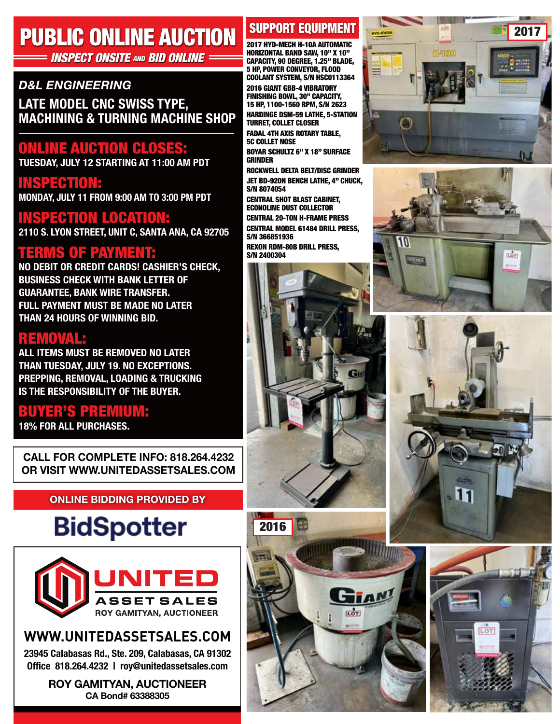# PUBLIC ONLINE AUCTION

### **INSPECT ONSITE AND BID ONLINE:**

### *D&L ENGINEERING*

**LATE MODEL CNC SWISS TYPE, MACHINING & TURNING MACHINE SHOP**

# ONLINE AUCTION CLOSES:

**TUESDAY, JULY 12 STARTING AT 11:00 AM PDT**

INSPECTION: **MONDAY, JULY 11 FROM 9:00 AM TO 3:00 PM PDT**

# INSPECTION LOCATION:

**2110 S. LYON STREET, UNIT C, SANTA ANA, CA 92705**

TERMS OF PAYMENT: **NO DEBIT OR CREDIT CARDS! CASHIER'S CHECK, BUSINESS CHECK WITH BANK LETTER OF GUARANTEE, BANK WIRE TRANSFER. FULL PAYMENT MUST BE MADE NO LATER THAN 24 HOURS OF WINNING BID.**

### REMOVAL:

**ALL ITEMS MUST BE REMOVED NO LATER THAN TUESDAY, JULY 19. NO EXCEPTIONS. PREPPING, REMOVAL, LOADING & TRUCKING IS THE RESPONSIBILITY OF THE BUYER.**

# BUYER'S PREMIUM:

**18% FOR ALL PURCHASES.**

**CALL FOR COMPLETE INFO: 818.264.4232 OR VISIT WWW.UNITEDASSETSALES.COM**

### **ONLINE BIDDING PROVIDED BY**

# **BidSpotter**



# **WWW.UNITEDASSETSALES.COM**

**23945 Calabasas Rd., Ste. 209, Calabasas, CA 91302 Office 818.264.4232 | roy@unitedassetsales.com**

> **ROY GAMITYAN, AUCTIONEER CA Bond# 63388305**

# SUPPORT EQUIPMENT

2017 HYD-MECH H-10A AUTOMATIC HORIZONTAL BAND SAW, 10" X 10" CAPACITY, 90 DEGREE, 1.25" BLADE, 5 HP, POWER CONVEYOR, FLOOD COOLANT SYSTEM, S/N HSC0113364 2016 GIANT GBB-4 VIBRATORY FINISHING BOWL, 30" CAPACITY, 15 HP, 1100-1560 RPM, S/N 2623

HARDINGE DSM-59 LATHE, 5-STATION TURRET, COLLET CLOSER FADAL 4TH AXIS ROTARY TABLE, 5C COLLET NOSE BOYAR SCHULTZ 6" X 18" SURFACE GRINDER

ROCKWELL DELTA BELT/DISC GRINDER JET BD-920N BENCH LATHE, 4" CHUCK, S/N 8074054

CENTRAL SHOT BLAST CABINET, ECONOLINE DUST COLLECTOR CENTRAL 20-TON H-FRAME PRESS CENTRAL MODEL 61484 DRILL PRESS, S/N 366851936

REXON RDM-80B DRILL PRESS, S/N 2400304

2016

n.









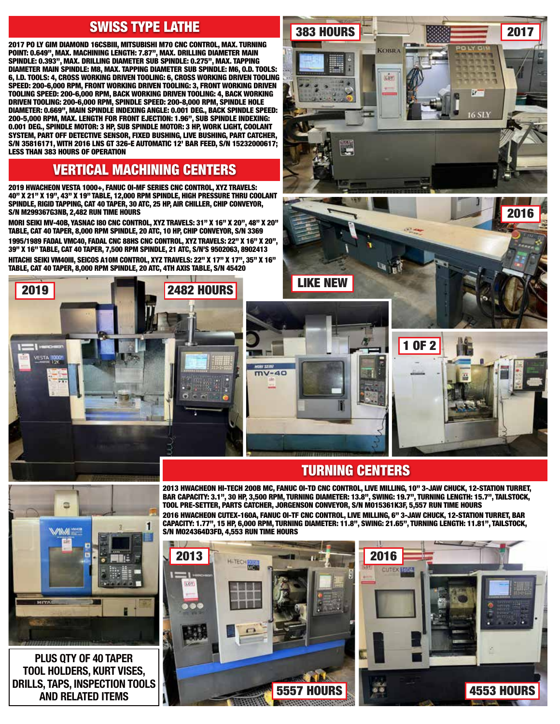### SWISS TYPE LATHE

2017 PO LY GIM DIAMOND 16CSBIII, MITSUBISHI M70 CNC CONTROL, MAX. TURNING POINT: 0.649", MAX. MACHINING LENGTH: 7.87", MAX. DRILLING DIAMETER MAIN SPINDLE: 0.393", MAX. DRILLING DIAMETER SUB SPINDLE: 0.275", MAX. TAPPING DIAMETER MAIN SPINDLE: M8, MAX. TAPPING DIAMETER SUB SPINDLE: M6, O.D. TOOLS: 6, I.D. TOOLS: 4, CROSS WORKING DRIVEN TOOLING: 6, CROSS WORKING DRIVEN TOOLING SPEED: 200-6,000 RPM, FRONT WORKING DRIVEN TOOLING: 3, FRONT WORKING DRIVEN TOOLING SPEED: 200-6,000 RPM, BACK WORKING DRIVEN TOOLING: 4, BACK WORKING DRIVEN TOOLING: 200-6,000 RPM, SPINDLE SPEED: 200-8,000 RPM, SPINDLE HOLE DIAMETER: 0.669", MAIN SPINDLE INDEXING ANGLE: 0.001 DEG., BACK SPINDLE SPEED: 200-5,000 RPM, MAX. LENGTH FOR FRONT EJECTION: 1.96", SUB SPINDLE INDEXING: 0.001 DEG., SPINDLE MOTOR: 3 HP, SUB SPINDLE MOTOR: 3 HP, WORK LIGHT, COOLANT SYSTEM, PART OFF DETECTIVE SENSOR, FIXED BUSHING, LIVE BUSHING, PART CATCHER, S/N 35816171, WITH 2016 LNS GT 326-E AUTOMATIC 12' BAR FEED, S/N 15232000617; LESS THAN 383 HOURS OF OPERATION

### VERTICAL MACHINING CENTERS

2019 HWACHEON VESTA 1000+, FANUC OI-MF SERIES CNC CONTROL, XYZ TRAVELS: 40" X 21" X 19", 43" X 19" TABLE, 12,000 RPM SPINDLE, HIGH PRESSURE THRU COOLANT SPINDLE, RIGID TAPPING, CAT 40 TAPER, 30 ATC, 25 HP, AIR CHILLER, CHIP CONVEYOR, S/N M299367G3NB, 2,482 RUN TIME HOURS

MORI SEIKI MV-40B, YASNAC I80 CNC CONTROL, XYZ TRAVELS: 31" X 16" X 20", 48" X 20" TABLE, CAT 40 TAPER, 8,000 RPM SPINDLE, 20 ATC, 10 HP, CHIP CONVEYOR, S/N 3369 1995/1989 FADAL VMC40, FADAL CNC 88HS CNC CONTROL, XYZ TRAVELS: 22" X 16" X 20", 39" X 16" TABLE, CAT 40 TAPER, 7,500 RPM SPINDLE, 21 ATC, S/N'S 9502063, 8902413 HITACHI SEIKI VM40III, SEICOS A10M CONTROL, XYZ TRAVELS: 22" X 17" X 17", 35" X 16" TABLE, CAT 40 TAPER, 8,000 RPM SPINDLE, 20 ATC, 4TH AXIS TABLE, S/N 45420





383 HOURS **2017 2017** 

**KOBRA** 

**LOY** 

2016

**16.STY** 

## TURNING CENTERS

2013 HWACHEON HI-TECH 200B MC, FANUC OI-TD CNC CONTROL, LIVE MILLING, 10" 3-JAW CHUCK, 12-STATION TURRET, BAR CAPACITY: 3.1", 30 HP, 3,500 RPM, TURNING DIAMETER: 13.8", SWING: 19.7", TURNING LENGTH: 15.7", TAILSTOCK, TOOL PRE-SETTER, PARTS CATCHER, JORGENSON CONVEYOR, S/N M015361K3F, 5,557 RUN TIME HOURS 2016 HWACHEON CUTEX-160A, FANUC OI-TF CNC CONTROL, LIVE MILLING, 6" 3-JAW CHUCK, 12-STATION TURRET, BAR CAPACITY: 1.77", 15 HP, 6,000 RPM, TURNING DIAMETER: 11.8", SWING: 21.65", TURNING LENGTH: 11.81", TAILSTOCK, S/N M024364D3FD, 4,553 RUN TIME HOURS







**PLUS QTY OF 40 TAPER TOOL HOLDERS, KURT VISES, DRILLS, TAPS, INSPECTION TOOLS AND RELATED ITEMS**